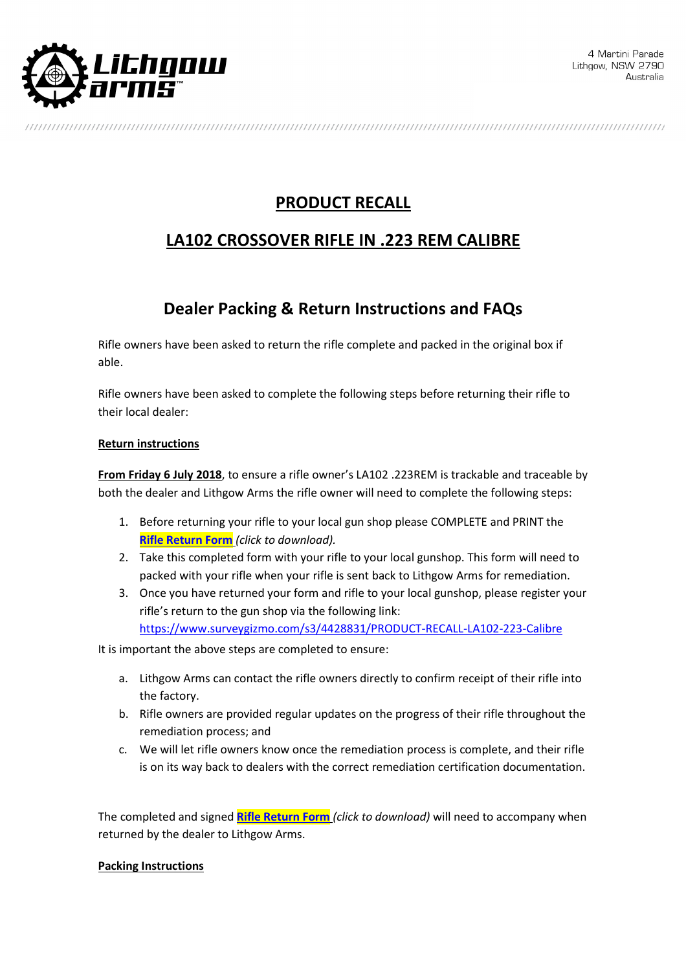

# **PRODUCT RECALL**

## **LA102 CROSSOVER RIFLE IN .223 REM CALIBRE**

## **Dealer Packing & Return Instructions and FAQs**

Rifle owners have been asked to return the rifle complete and packed in the original box if able.

Rifle owners have been asked to complete the following steps before returning their rifle to their local dealer:

### **Return instructions**

**From Friday 6 July 2018**, to ensure a rifle owner's LA102 .223REM is trackable and traceable by both the dealer and Lithgow Arms the rifle owner will need to complete the following steps:

- 1. Before returning your rifle to your local gun shop please COMPLETE and PRINT the **Rifle Return Form** *(click to download).*
- 2. Take this completed form with your rifle to your local gunshop. This form will need to packed with your rifle when your rifle is sent back to Lithgow Arms for remediation.
- 3. Once you have returned your form and rifle to your local gunshop, please register your rifle's return to the gun shop via the following link: https://www.surveygizmo.com/s3/4428831/PRODUCT-RECALL-LA102-223-Calibre

It is important the above steps are completed to ensure:

- a. Lithgow Arms can contact the rifle owners directly to confirm receipt of their rifle into the factory.
- b. Rifle owners are provided regular updates on the progress of their rifle throughout the remediation process; and
- c. We will let rifle owners know once the remediation process is complete, and their rifle is on its way back to dealers with the correct remediation certification documentation.

The completed and signed **Rifle Return Form** *(click to download)* will need to accompany when returned by the dealer to Lithgow Arms.

#### **Packing Instructions**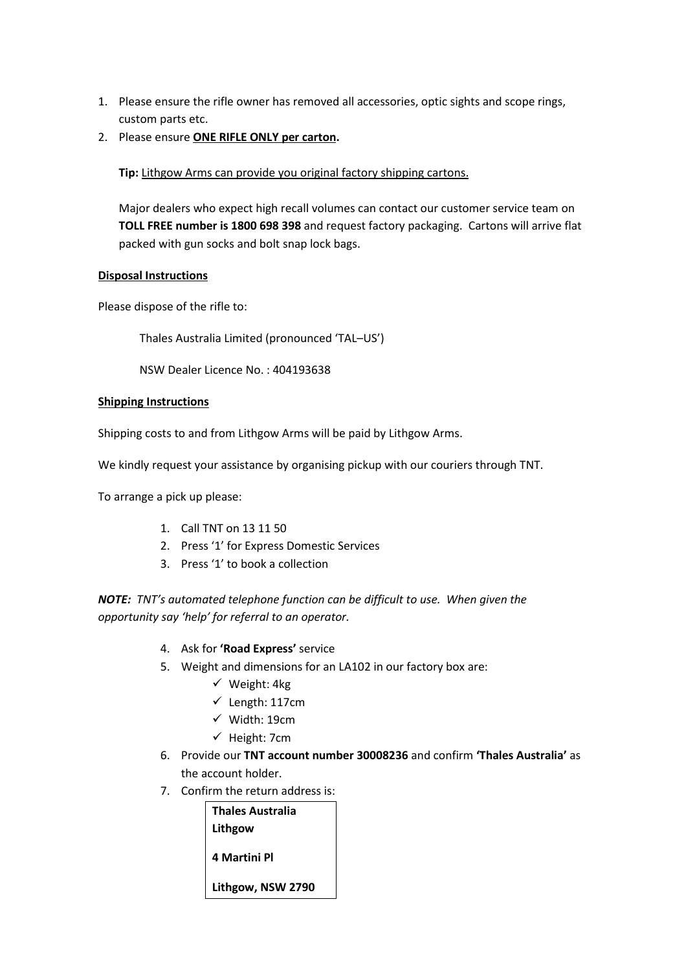- 1. Please ensure the rifle owner has removed all accessories, optic sights and scope rings, custom parts etc.
- 2. Please ensure **ONE RIFLE ONLY per carton.**

**Tip:** Lithgow Arms can provide you original factory shipping cartons.

Major dealers who expect high recall volumes can contact our customer service team on **TOLL FREE number is 1800 698 398** and request factory packaging. Cartons will arrive flat packed with gun socks and bolt snap lock bags.

#### **Disposal Instructions**

Please dispose of the rifle to:

Thales Australia Limited (pronounced 'TAL–US')

NSW Dealer Licence No. : 404193638

#### **Shipping Instructions**

Shipping costs to and from Lithgow Arms will be paid by Lithgow Arms.

We kindly request your assistance by organising pickup with our couriers through TNT.

To arrange a pick up please:

- 1. Call TNT on 13 11 50
- 2. Press '1' for Express Domestic Services
- 3. Press '1' to book a collection

*NOTE: TNT's automated telephone function can be difficult to use. When given the opportunity say 'help' for referral to an operator.*

- 4. Ask for **'Road Express'** service
- 5. Weight and dimensions for an LA102 in our factory box are:
	- $\checkmark$  Weight: 4kg
	- $\checkmark$  Length: 117cm
	- $\checkmark$  Width: 19cm
	- $\checkmark$  Height: 7cm
- 6. Provide our **TNT account number 30008236** and confirm **'Thales Australia'** as the account holder.
- 7. Confirm the return address is:

| <b>Thales Australia</b> |
|-------------------------|
| Lithgow                 |
| 4 Martini Pl            |
| Lithgow, NSW 2790       |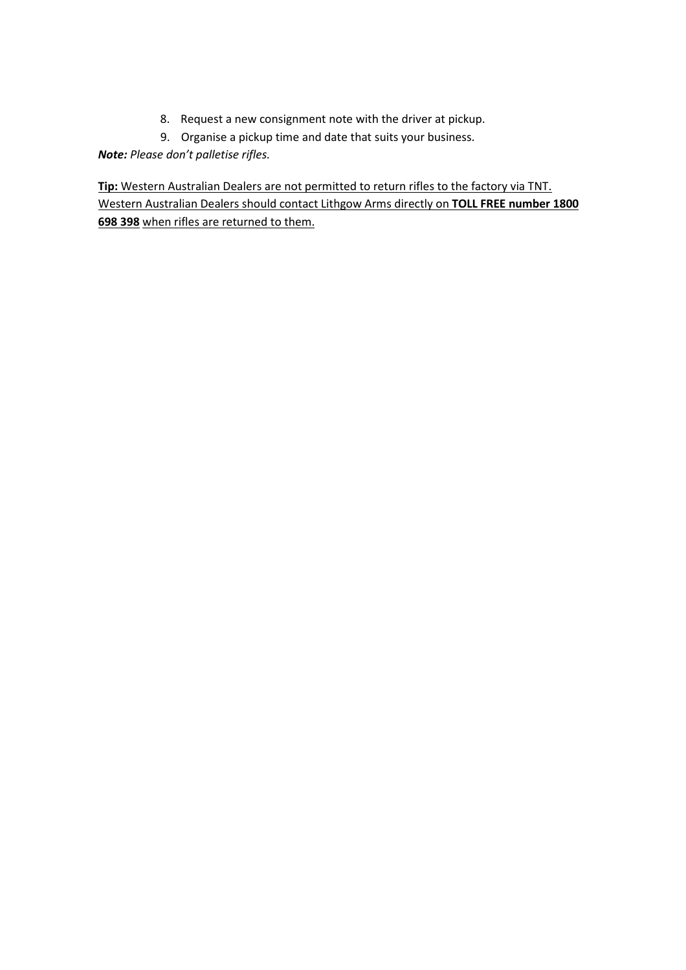- 8. Request a new consignment note with the driver at pickup.
- 9. Organise a pickup time and date that suits your business.

*Note: Please don't palletise rifles.* 

**Tip:** Western Australian Dealers are not permitted to return rifles to the factory via TNT. Western Australian Dealers should contact Lithgow Arms directly on **TOLL FREE number 1800 698 398** when rifles are returned to them.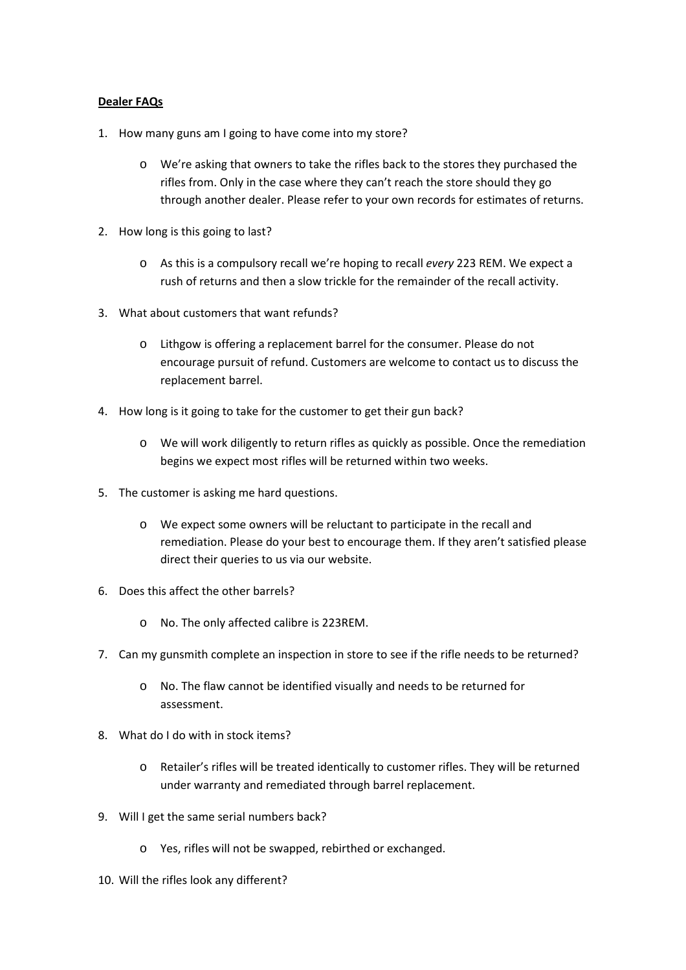### **Dealer FAQs**

- 1. How many guns am I going to have come into my store?
	- o We're asking that owners to take the rifles back to the stores they purchased the rifles from. Only in the case where they can't reach the store should they go through another dealer. Please refer to your own records for estimates of returns.
- 2. How long is this going to last?
	- o As this is a compulsory recall we're hoping to recall *every* 223 REM. We expect a rush of returns and then a slow trickle for the remainder of the recall activity.
- 3. What about customers that want refunds?
	- o Lithgow is offering a replacement barrel for the consumer. Please do not encourage pursuit of refund. Customers are welcome to contact us to discuss the replacement barrel.
- 4. How long is it going to take for the customer to get their gun back?
	- o We will work diligently to return rifles as quickly as possible. Once the remediation begins we expect most rifles will be returned within two weeks.
- 5. The customer is asking me hard questions.
	- o We expect some owners will be reluctant to participate in the recall and remediation. Please do your best to encourage them. If they aren't satisfied please direct their queries to us via our website.
- 6. Does this affect the other barrels?
	- o No. The only affected calibre is 223REM.
- 7. Can my gunsmith complete an inspection in store to see if the rifle needs to be returned?
	- o No. The flaw cannot be identified visually and needs to be returned for assessment.
- 8. What do I do with in stock items?
	- o Retailer's rifles will be treated identically to customer rifles. They will be returned under warranty and remediated through barrel replacement.
- 9. Will I get the same serial numbers back?
	- o Yes, rifles will not be swapped, rebirthed or exchanged.
- 10. Will the rifles look any different?